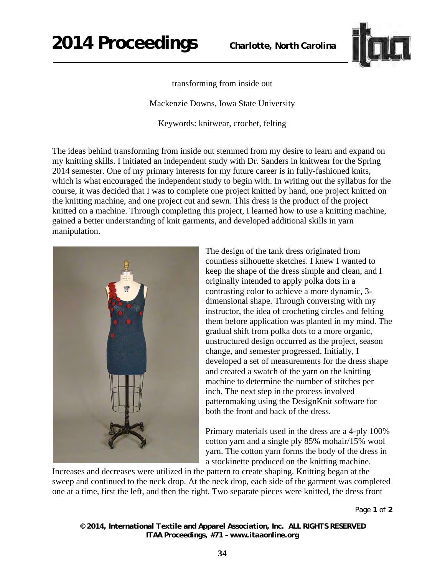

## transforming from inside out

Mackenzie Downs, Iowa State University

Keywords: knitwear, crochet, felting

The ideas behind transforming from inside out stemmed from my desire to learn and expand on my knitting skills. I initiated an independent study with Dr. Sanders in knitwear for the Spring 2014 semester. One of my primary interests for my future career is in fully-fashioned knits, which is what encouraged the independent study to begin with. In writing out the syllabus for the course, it was decided that I was to complete one project knitted by hand, one project knitted on the knitting machine, and one project cut and sewn. This dress is the product of the project knitted on a machine. Through completing this project, I learned how to use a knitting machine, gained a better understanding of knit garments, and developed additional skills in yarn manipulation.



The design of the tank dress originated from countless silhouette sketches. I knew I wanted to keep the shape of the dress simple and clean, and I originally intended to apply polka dots in a contrasting color to achieve a more dynamic, 3 dimensional shape. Through conversing with my instructor, the idea of crocheting circles and felting them before application was planted in my mind. The gradual shift from polka dots to a more organic, unstructured design occurred as the project, season change, and semester progressed. Initially, I developed a set of measurements for the dress shape and created a swatch of the yarn on the knitting machine to determine the number of stitches per inch. The next step in the process involved patternmaking using the DesignKnit software for both the front and back of the dress.

Primary materials used in the dress are a 4-ply 100% cotton yarn and a single ply 85% mohair/15% wool yarn. The cotton yarn forms the body of the dress in a stockinette produced on the knitting machine.

Increases and decreases were utilized in the pattern to create shaping. Knitting began at the sweep and continued to the neck drop. At the neck drop, each side of the garment was completed one at a time, first the left, and then the right. Two separate pieces were knitted, the dress front

Page **1** of **2** 

*© 2014, International Textile and Apparel Association, Inc. ALL RIGHTS RESERVED ITAA Proceedings, #71 – www.itaaonline.org*